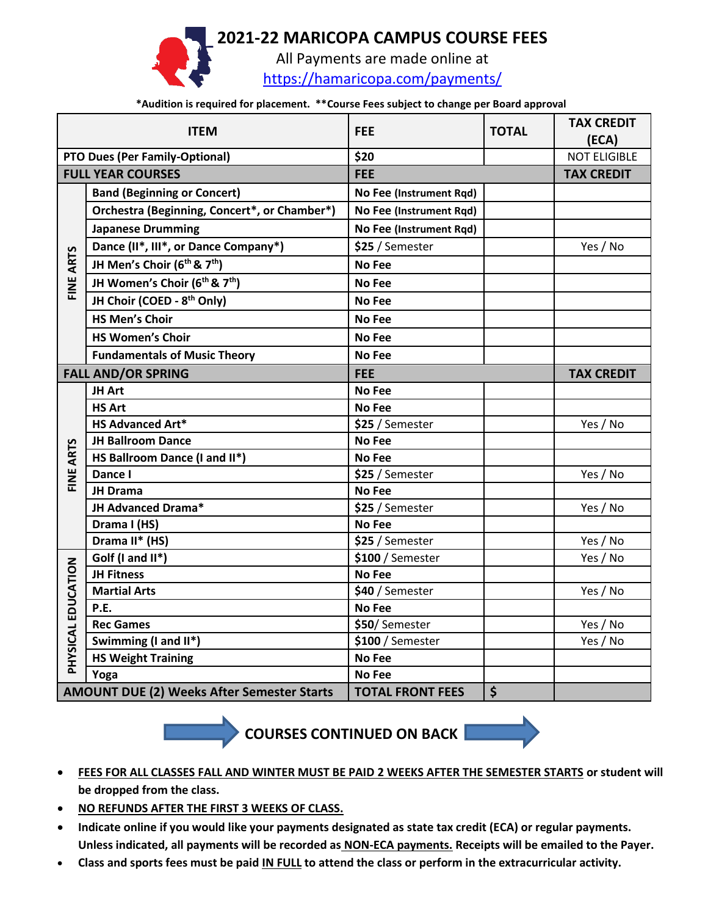## **2021-22 MARICOPA CAMPUS COURSE FEES**



All Payments are made online at <https://hamaricopa.com/payments/>

**\*Audition is required for placement. \*\*Course Fees subject to change per Board approval**

| <b>ITEM</b>                                                                  |                                              | <b>FEE</b>              | <b>TOTAL</b> | <b>TAX CREDIT</b><br>(ECA) |
|------------------------------------------------------------------------------|----------------------------------------------|-------------------------|--------------|----------------------------|
| <b>PTO Dues (Per Family-Optional)</b>                                        |                                              | \$20                    |              | <b>NOT ELIGIBLE</b>        |
| <b>FULL YEAR COURSES</b>                                                     |                                              | <b>FEE</b>              |              | <b>TAX CREDIT</b>          |
| FINE ARTS                                                                    | <b>Band (Beginning or Concert)</b>           | No Fee (Instrument Rqd) |              |                            |
|                                                                              | Orchestra (Beginning, Concert*, or Chamber*) | No Fee (Instrument Rqd) |              |                            |
|                                                                              | <b>Japanese Drumming</b>                     | No Fee (Instrument Rqd) |              |                            |
|                                                                              | Dance (II*, III*, or Dance Company*)         | \$25 / Semester         |              | Yes / No                   |
|                                                                              | JH Men's Choir (6th & 7th)                   | <b>No Fee</b>           |              |                            |
|                                                                              | JH Women's Choir (6th & 7th)                 | <b>No Fee</b>           |              |                            |
|                                                                              | JH Choir (COED - 8 <sup>th</sup> Only)       | <b>No Fee</b>           |              |                            |
|                                                                              | <b>HS Men's Choir</b>                        | <b>No Fee</b>           |              |                            |
|                                                                              | <b>HS Women's Choir</b>                      | <b>No Fee</b>           |              |                            |
|                                                                              | <b>Fundamentals of Music Theory</b>          | <b>No Fee</b>           |              |                            |
| <b>FALL AND/OR SPRING</b>                                                    |                                              | <b>FEE</b>              |              | <b>TAX CREDIT</b>          |
|                                                                              | JH Art                                       | No Fee                  |              |                            |
|                                                                              | <b>HS Art</b>                                | No Fee                  |              |                            |
| FINE ARTS                                                                    | <b>HS Advanced Art*</b>                      | \$25 / Semester         |              | Yes / No                   |
|                                                                              | <b>JH Ballroom Dance</b>                     | No Fee                  |              |                            |
|                                                                              | HS Ballroom Dance (I and II*)                | No Fee                  |              |                            |
|                                                                              | Dance I                                      | \$25 / Semester         |              | Yes / No                   |
|                                                                              | JH Drama                                     | No Fee                  |              |                            |
|                                                                              | JH Advanced Drama*                           | \$25 / Semester         |              | Yes / No                   |
|                                                                              | Drama I (HS)                                 | No Fee                  |              |                            |
|                                                                              | Drama II* (HS)                               | \$25 / Semester         |              | Yes / No                   |
| PHYSICAL EDUCATION                                                           | Golf (I and II*)                             | $$100/$ Semester        |              | Yes / No                   |
|                                                                              | <b>JH Fitness</b>                            | <b>No Fee</b>           |              |                            |
|                                                                              | <b>Martial Arts</b>                          | \$40 / Semester         |              | Yes / No                   |
|                                                                              | P.E.                                         | No Fee                  |              |                            |
|                                                                              | <b>Rec Games</b>                             | \$50/Semester           |              | Yes / No                   |
|                                                                              | Swimming (I and II*)                         | \$100 / Semester        |              | Yes / No                   |
|                                                                              | <b>HS Weight Training</b>                    | No Fee                  |              |                            |
|                                                                              | Yoga                                         | No Fee                  |              |                            |
| <b>AMOUNT DUE (2) Weeks After Semester Starts</b><br><b>TOTAL FRONT FEES</b> |                                              |                         | \$           |                            |

**COURSES CONTINUED ON BACK** 



- **FEES FOR ALL CLASSES FALL AND WINTER MUST BE PAID 2 WEEKS AFTER THE SEMESTER STARTS or student will be dropped from the class.**
- **NO REFUNDS AFTER THE FIRST 3 WEEKS OF CLASS.**
- **Indicate online if you would like your payments designated as state tax credit (ECA) or regular payments. Unless indicated, all payments will be recorded as NON-ECA payments. Receipts will be emailed to the Payer.**
- **Class and sports fees must be paid IN FULL to attend the class or perform in the extracurricular activity.**